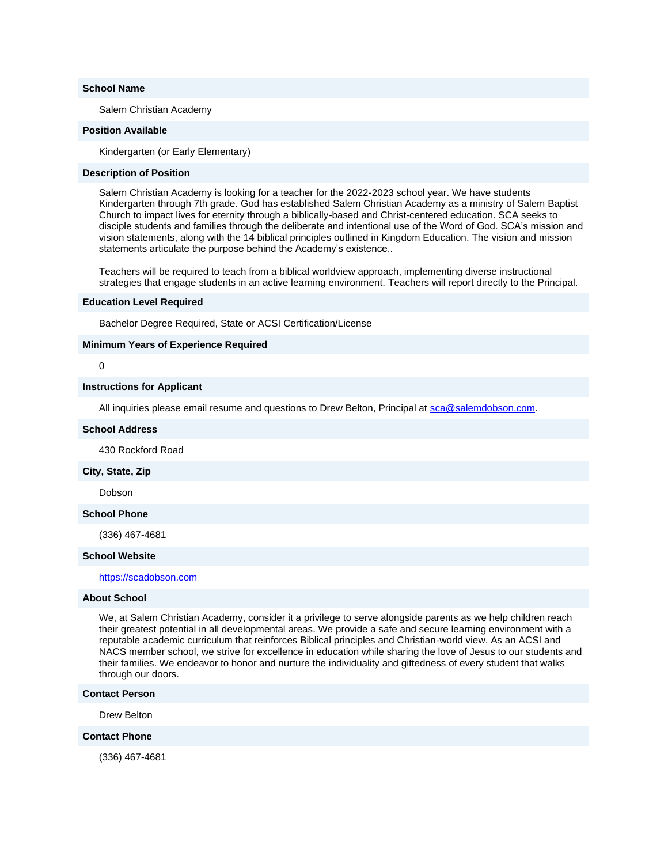#### **School Name**

Salem Christian Academy

#### **Position Available**

Kindergarten (or Early Elementary)

## **Description of Position**

Salem Christian Academy is looking for a teacher for the 2022-2023 school year. We have students Kindergarten through 7th grade. God has established Salem Christian Academy as a ministry of Salem Baptist Church to impact lives for eternity through a biblically-based and Christ-centered education. SCA seeks to disciple students and families through the deliberate and intentional use of the Word of God. SCA's mission and vision statements, along with the 14 biblical principles outlined in Kingdom Education. The vision and mission statements articulate the purpose behind the Academy's existence..

Teachers will be required to teach from a biblical worldview approach, implementing diverse instructional strategies that engage students in an active learning environment. Teachers will report directly to the Principal.

### **Education Level Required**

Bachelor Degree Required, State or ACSI Certification/License

#### **Minimum Years of Experience Required**

## 0

#### **Instructions for Applicant**

All inquiries please email resume and questions to Drew Belton, Principal at [sca@salemdobson.com.](mailto:sca@salemdobson.com)

#### **School Address**

430 Rockford Road

#### **City, State, Zip**

Dobson

## **School Phone**

(336) 467-4681

#### **School Website**

[https://scadobson.com](http://email.nacschools-org.nsmail1.com/c/eJxVzTEOgzAMRuHTwNYI_04dMmTo0nskhhYkiCvC_VXUrdKb3zclH4V17teEARgYTN4H8i7OeVSGRBKiMaDzQ83adDHb2s2Ot6ttz-tGTm3vl3TPXFiiR1QwQEUEJZSokwbIJWxpOc9P6_jR4XnVNE9WmtXf4Ehrfdkf4i7kCyS9MFQ)

## **About School**

We, at Salem Christian Academy, consider it a privilege to serve alongside parents as we help children reach their greatest potential in all developmental areas. We provide a safe and secure learning environment with a reputable academic curriculum that reinforces Biblical principles and Christian-world view. As an ACSI and NACS member school, we strive for excellence in education while sharing the love of Jesus to our students and their families. We endeavor to honor and nurture the individuality and giftedness of every student that walks through our doors.

#### **Contact Person**

Drew Belton

## **Contact Phone**

(336) 467-4681